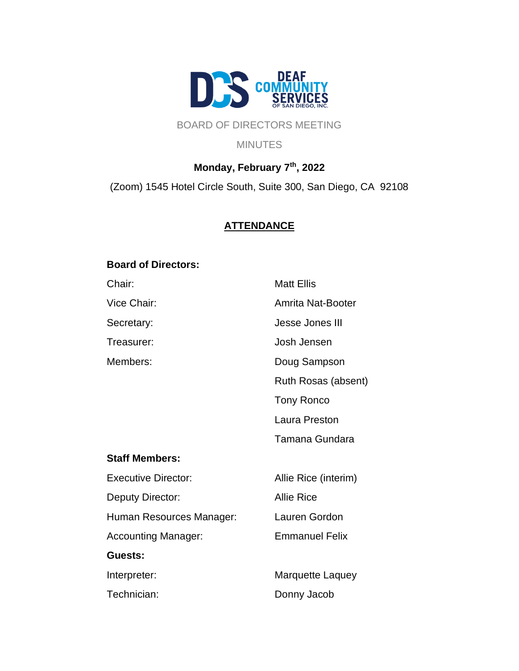

# BOARD OF DIRECTORS MEETING

**MINUTES** 

# **Monday, February 7 th, 2022**

(Zoom) 1545 Hotel Circle South, Suite 300, San Diego, CA 92108

# **ATTENDANCE**

#### **Board of Directors:**

| <b>Matt Ellis</b>     |
|-----------------------|
| Amrita Nat-Booter     |
| Jesse Jones III       |
| Josh Jensen           |
| Doug Sampson          |
| Ruth Rosas (absent)   |
| <b>Tony Ronco</b>     |
| Laura Preston         |
| Tamana Gundara        |
|                       |
| Allie Rice (interim)  |
| <b>Allie Rice</b>     |
| Lauren Gordon         |
| <b>Emmanuel Felix</b> |
|                       |
| Marquette Laquey      |
| Donny Jacob           |
|                       |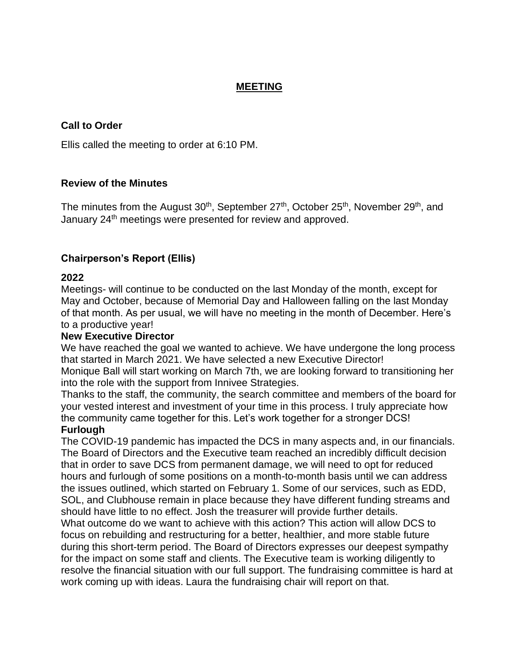#### **MEETING**

## **Call to Order**

Ellis called the meeting to order at 6:10 PM.

#### **Review of the Minutes**

The minutes from the August 30<sup>th</sup>, September 27<sup>th</sup>, October 25<sup>th</sup>, November 29<sup>th</sup>, and January 24<sup>th</sup> meetings were presented for review and approved.

# **Chairperson's Report (Ellis)**

#### **2022**

Meetings- will continue to be conducted on the last Monday of the month, except for May and October, because of Memorial Day and Halloween falling on the last Monday of that month. As per usual, we will have no meeting in the month of December. Here's to a productive year!

#### **New Executive Director**

We have reached the goal we wanted to achieve. We have undergone the long process that started in March 2021. We have selected a new Executive Director!

Monique Ball will start working on March 7th, we are looking forward to transitioning her into the role with the support from Innivee Strategies.

Thanks to the staff, the community, the search committee and members of the board for your vested interest and investment of your time in this process. I truly appreciate how the community came together for this. Let's work together for a stronger DCS!

#### **Furlough**

The COVID-19 pandemic has impacted the DCS in many aspects and, in our financials. The Board of Directors and the Executive team reached an incredibly difficult decision that in order to save DCS from permanent damage, we will need to opt for reduced hours and furlough of some positions on a month-to-month basis until we can address the issues outlined, which started on February 1. Some of our services, such as EDD, SOL, and Clubhouse remain in place because they have different funding streams and should have little to no effect. Josh the treasurer will provide further details.

What outcome do we want to achieve with this action? This action will allow DCS to focus on rebuilding and restructuring for a better, healthier, and more stable future during this short-term period. The Board of Directors expresses our deepest sympathy for the impact on some staff and clients. The Executive team is working diligently to resolve the financial situation with our full support. The fundraising committee is hard at work coming up with ideas. Laura the fundraising chair will report on that.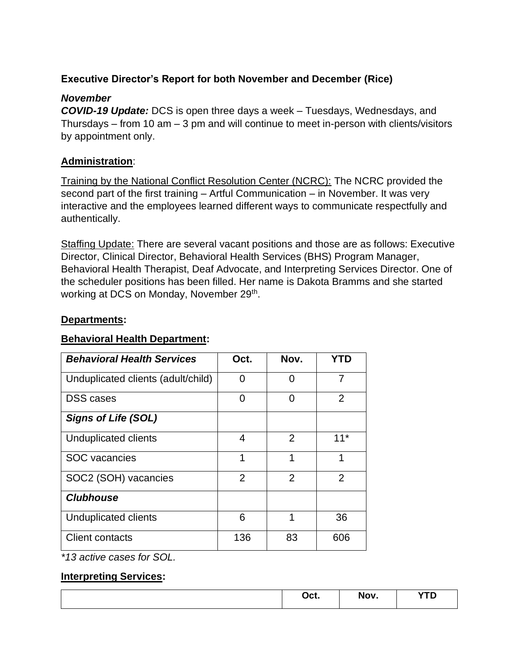# **Executive Director's Report for both November and December (Rice)**

# *November*

*COVID-19 Update:* DCS is open three days a week – Tuesdays, Wednesdays, and Thursdays – from 10 am  $-$  3 pm and will continue to meet in-person with clients/visitors by appointment only.

# **Administration**:

Training by the National Conflict Resolution Center (NCRC): The NCRC provided the second part of the first training – Artful Communication – in November. It was very interactive and the employees learned different ways to communicate respectfully and authentically.

Staffing Update: There are several vacant positions and those are as follows: Executive Director, Clinical Director, Behavioral Health Services (BHS) Program Manager, Behavioral Health Therapist, Deaf Advocate, and Interpreting Services Director. One of the scheduler positions has been filled. Her name is Dakota Bramms and she started working at DCS on Monday, November 29<sup>th</sup>.

# **Departments:**

# **Behavioral Health Department:**

| <b>Behavioral Health Services</b>  | Oct.           | Nov.           | YTD            |
|------------------------------------|----------------|----------------|----------------|
| Unduplicated clients (adult/child) | 0              | 0              | 7              |
| <b>DSS</b> cases                   | 0              | 0              | $\overline{2}$ |
| <b>Signs of Life (SOL)</b>         |                |                |                |
| Unduplicated clients               | 4              | $\overline{2}$ | $11*$          |
| <b>SOC</b> vacancies               | 1              | 1              | 1              |
| SOC2 (SOH) vacancies               | $\overline{2}$ | $\overline{2}$ | $\overline{2}$ |
| <b>Clubhouse</b>                   |                |                |                |
| Unduplicated clients               | 6              | 1              | 36             |
| <b>Client contacts</b>             | 136            | 83             | 606            |

*\*13 active cases for SOL.*

# **Interpreting Services:**

|           |                        | --            |
|-----------|------------------------|---------------|
| $-$<br>バい | $- - -$<br>. .<br>'VU. | $\sim$ $\sim$ |
|           | _____                  |               |
|           |                        |               |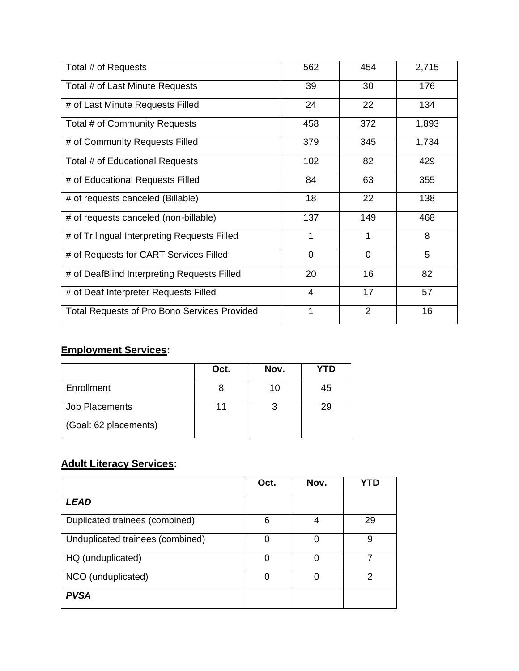| Total # of Requests                                 | 562            | 454            | 2,715 |
|-----------------------------------------------------|----------------|----------------|-------|
| Total # of Last Minute Requests                     | 39             | 30             | 176   |
| # of Last Minute Requests Filled                    | 24             | 22             | 134   |
| Total # of Community Requests                       | 458            | 372            | 1,893 |
| # of Community Requests Filled                      | 379            | 345            | 1,734 |
| Total # of Educational Requests                     | 102            | 82             | 429   |
| # of Educational Requests Filled                    | 84             | 63             | 355   |
| # of requests canceled (Billable)                   | 18             | 22             | 138   |
| # of requests canceled (non-billable)               | 137            | 149            | 468   |
| # of Trilingual Interpreting Requests Filled        | 1              | 1              | 8     |
| # of Requests for CART Services Filled              | $\overline{0}$ | 0              | 5     |
| # of DeafBlind Interpreting Requests Filled         | 20             | 16             | 82    |
| # of Deaf Interpreter Requests Filled               | $\overline{4}$ | 17             | 57    |
| <b>Total Requests of Pro Bono Services Provided</b> | 1              | $\overline{2}$ | 16    |

# **Employment Services:**

|                       | Oct. | Nov. | <b>YTD</b> |
|-----------------------|------|------|------------|
| Enrollment            |      | 10   | 45         |
| Job Placements        |      |      | 29         |
| (Goal: 62 placements) |      |      |            |

# **Adult Literacy Services:**

|                                  | Oct. | Nov. | YTD |
|----------------------------------|------|------|-----|
| <b>LEAD</b>                      |      |      |     |
| Duplicated trainees (combined)   | 6    | 4    | 29  |
| Unduplicated trainees (combined) | ∩    | ∩    | 9   |
| HQ (unduplicated)                | O    |      |     |
| NCO (unduplicated)               | Ω    |      | າ   |
| <b>PVSA</b>                      |      |      |     |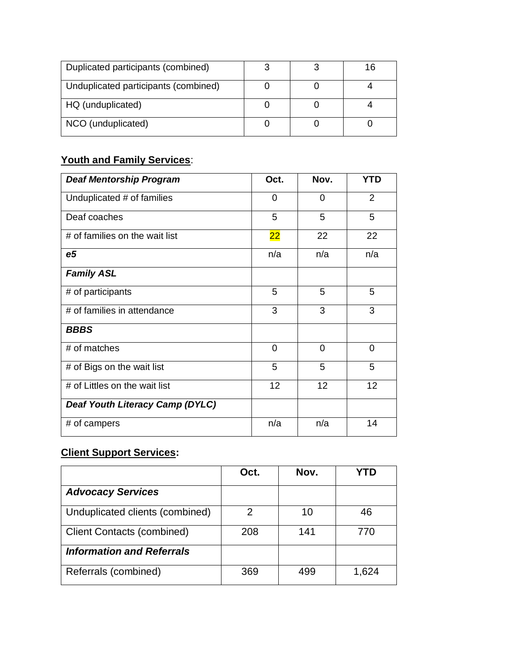| Duplicated participants (combined)   |  | 16 |
|--------------------------------------|--|----|
| Unduplicated participants (combined) |  |    |
| HQ (unduplicated)                    |  |    |
| NCO (unduplicated)                   |  |    |

# **Youth and Family Services**:

| <b>Deaf Mentorship Program</b>         | Oct.           | Nov.           | <b>YTD</b>     |
|----------------------------------------|----------------|----------------|----------------|
| Unduplicated # of families             | 0              | 0              | $\overline{2}$ |
| Deaf coaches                           | 5              | 5              | 5              |
| # of families on the wait list         | 22             | 22             | 22             |
| e <sub>5</sub>                         | n/a            | n/a            | n/a            |
| <b>Family ASL</b>                      |                |                |                |
| # of participants                      | 5              | 5              | 5              |
| # of families in attendance            | 3              | 3              | 3              |
| <b>BBBS</b>                            |                |                |                |
| # of matches                           | $\overline{0}$ | $\overline{0}$ | $\overline{0}$ |
| # of Bigs on the wait list             | 5              | 5              | 5              |
| # of Littles on the wait list          | 12             | 12             | 12             |
| <b>Deaf Youth Literacy Camp (DYLC)</b> |                |                |                |
| # of campers                           | n/a            | n/a            | 14             |

# **Client Support Services:**

|                                   | Oct. | Nov. |       |
|-----------------------------------|------|------|-------|
| <b>Advocacy Services</b>          |      |      |       |
| Unduplicated clients (combined)   | 2    | 10   | 46    |
| <b>Client Contacts (combined)</b> | 208  | 141  | 770   |
| <b>Information and Referrals</b>  |      |      |       |
| Referrals (combined)              | 369  | 499  | 1,624 |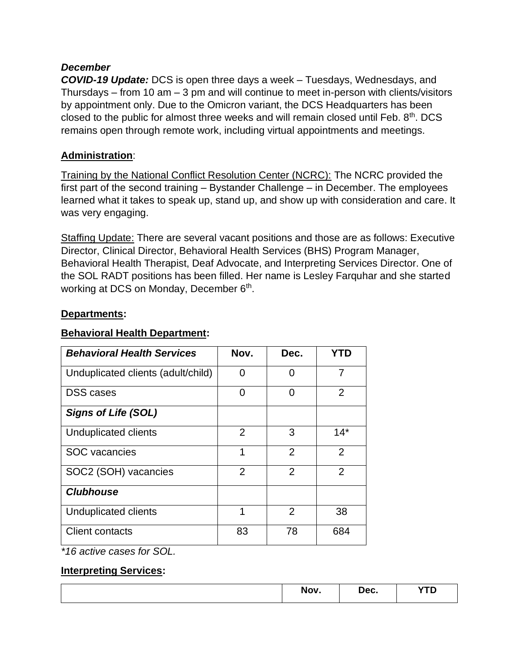## *December*

*COVID-19 Update:* DCS is open three days a week – Tuesdays, Wednesdays, and Thursdays – from 10 am – 3 pm and will continue to meet in-person with clients/visitors by appointment only. Due to the Omicron variant, the DCS Headquarters has been closed to the public for almost three weeks and will remain closed until Feb. 8<sup>th</sup>. DCS remains open through remote work, including virtual appointments and meetings.

# **Administration**:

Training by the National Conflict Resolution Center (NCRC): The NCRC provided the first part of the second training – Bystander Challenge – in December. The employees learned what it takes to speak up, stand up, and show up with consideration and care. It was very engaging.

Staffing Update: There are several vacant positions and those are as follows: Executive Director, Clinical Director, Behavioral Health Services (BHS) Program Manager, Behavioral Health Therapist, Deaf Advocate, and Interpreting Services Director. One of the SOL RADT positions has been filled. Her name is Lesley Farquhar and she started working at DCS on Monday, December 6<sup>th</sup>.

### **Departments:**

### **Behavioral Health Department:**

| <b>Behavioral Health Services</b>  | Nov.           | Dec.           | <b>YTD</b>     |
|------------------------------------|----------------|----------------|----------------|
| Unduplicated clients (adult/child) | O              | 0              | 7              |
| <b>DSS</b> cases                   | 0              | 0              | $\overline{2}$ |
| <b>Signs of Life (SOL)</b>         |                |                |                |
| Unduplicated clients               | $\overline{2}$ | 3              | $14*$          |
| <b>SOC</b> vacancies               | 1              | $\overline{2}$ | $\overline{2}$ |
| SOC2 (SOH) vacancies               | $\overline{2}$ | $\overline{2}$ | $\overline{2}$ |
| <b>Clubhouse</b>                   |                |                |                |
| Unduplicated clients               | 1              | $\overline{2}$ | 38             |
| Client contacts                    | 83             | 78             | 684            |

*\*16 active cases for SOL.*

#### **Interpreting Services:**

|  | . | Tec.<br>___ | <b>Contract Contract Contract Contract</b><br>. |
|--|---|-------------|-------------------------------------------------|
|--|---|-------------|-------------------------------------------------|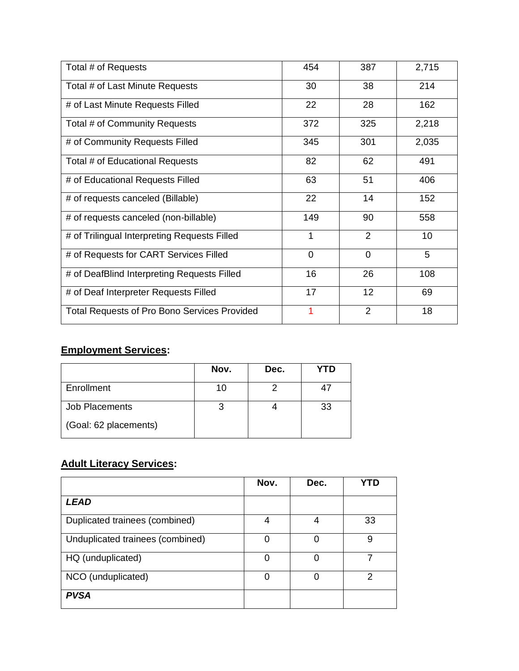| Total # of Requests                                 | 454            | 387            | 2,715 |
|-----------------------------------------------------|----------------|----------------|-------|
| Total # of Last Minute Requests                     | 30             | 38             | 214   |
| # of Last Minute Requests Filled                    | 22             | 28             | 162   |
| Total # of Community Requests                       | 372            | 325            | 2,218 |
| # of Community Requests Filled                      | 345            | 301            | 2,035 |
| Total # of Educational Requests                     | 82             | 62             | 491   |
| # of Educational Requests Filled                    | 63             | 51             | 406   |
| # of requests canceled (Billable)                   | 22             | 14             | 152   |
| # of requests canceled (non-billable)               | 149            | 90             | 558   |
| # of Trilingual Interpreting Requests Filled        | 1              | $\overline{2}$ | 10    |
| # of Requests for CART Services Filled              | $\overline{0}$ | $\overline{0}$ | 5     |
| # of DeafBlind Interpreting Requests Filled         | 16             | 26             | 108   |
| # of Deaf Interpreter Requests Filled               | 17             | 12             | 69    |
| <b>Total Requests of Pro Bono Services Provided</b> |                | $\overline{2}$ | 18    |

# **Employment Services:**

|                       | Nov. | Dec. | YTD |
|-----------------------|------|------|-----|
| Enrollment            |      |      | 47  |
| Job Placements        |      |      | 33  |
| (Goal: 62 placements) |      |      |     |

# **Adult Literacy Services:**

|                                  | Nov. | Dec. | YTD |
|----------------------------------|------|------|-----|
| <b>LEAD</b>                      |      |      |     |
| Duplicated trainees (combined)   | 4    | 4    | 33  |
| Unduplicated trainees (combined) | ∩    | ∩    | 9   |
| HQ (unduplicated)                | O    |      |     |
| NCO (unduplicated)               | Ω    |      | າ   |
| <b>PVSA</b>                      |      |      |     |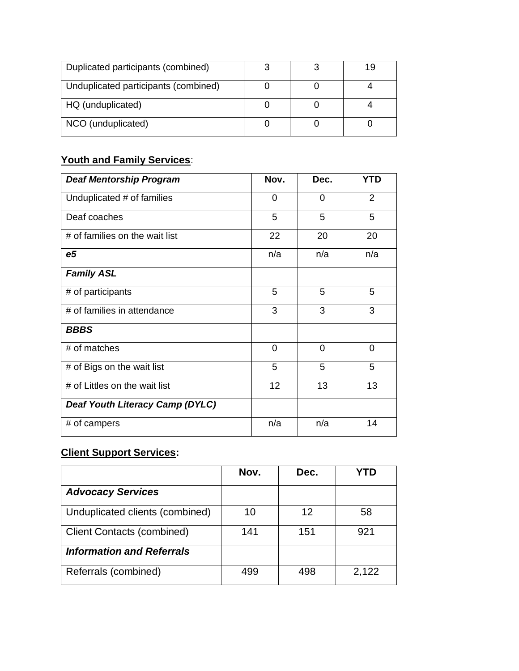| Duplicated participants (combined)   |  | 19 |
|--------------------------------------|--|----|
| Unduplicated participants (combined) |  |    |
| HQ (unduplicated)                    |  |    |
| NCO (unduplicated)                   |  |    |

# **Youth and Family Services**:

| <b>Deaf Mentorship Program</b>  | Nov.           | Dec.           | <b>YTD</b>     |
|---------------------------------|----------------|----------------|----------------|
| Unduplicated # of families      | 0              | 0              | 2              |
| Deaf coaches                    | 5              | 5              | 5              |
| # of families on the wait list  | 22             | 20             | 20             |
| e <sub>5</sub>                  | n/a            | n/a            | n/a            |
| <b>Family ASL</b>               |                |                |                |
| # of participants               | 5              | 5              | 5              |
| # of families in attendance     | 3              | 3              | 3              |
| <b>BBBS</b>                     |                |                |                |
| # of matches                    | $\overline{0}$ | $\overline{0}$ | $\overline{0}$ |
| # of Bigs on the wait list      | 5              | 5              | 5              |
| # of Littles on the wait list   | 12             | 13             | 13             |
| Deaf Youth Literacy Camp (DYLC) |                |                |                |
| # of campers                    | n/a            | n/a            | 14             |

# **Client Support Services:**

|                                   | Nov. | Dec. |       |
|-----------------------------------|------|------|-------|
| <b>Advocacy Services</b>          |      |      |       |
| Unduplicated clients (combined)   | 10   | 12   | 58    |
| <b>Client Contacts (combined)</b> | 141  | 151  | 921   |
| <b>Information and Referrals</b>  |      |      |       |
| Referrals (combined)              | 499  | 498  | 2,122 |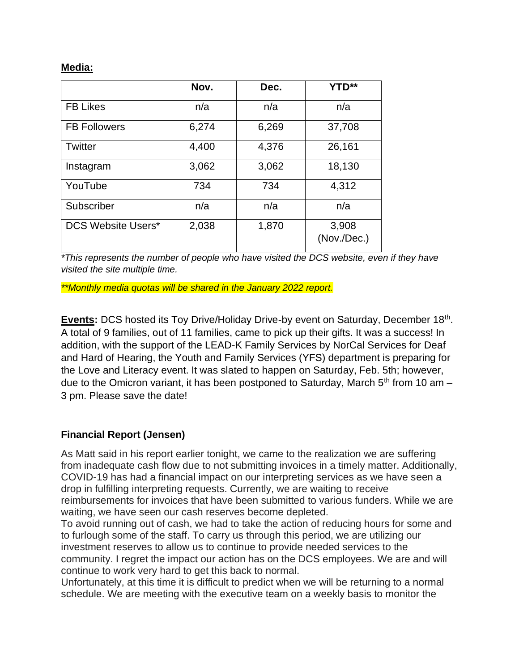#### **Media:**

|                           | Nov.  | Dec.  | <b>YTD**</b>         |
|---------------------------|-------|-------|----------------------|
| <b>FB Likes</b>           | n/a   | n/a   | n/a                  |
| <b>FB Followers</b>       | 6,274 | 6,269 | 37,708               |
| Twitter                   | 4,400 | 4,376 | 26,161               |
| Instagram                 | 3,062 | 3,062 | 18,130               |
| YouTube                   | 734   | 734   | 4,312                |
| Subscriber                | n/a   | n/a   | n/a                  |
| <b>DCS Website Users*</b> | 2,038 | 1,870 | 3,908<br>(Nov./Dec.) |

*\*This represents the number of people who have visited the DCS website, even if they have visited the site multiple time.* 

*\*\*Monthly media quotas will be shared in the January 2022 report.*

Events: DCS hosted its Toy Drive/Holiday Drive-by event on Saturday, December 18<sup>th</sup>. A total of 9 families, out of 11 families, came to pick up their gifts. It was a success! In addition, with the support of the LEAD-K Family Services by NorCal Services for Deaf and Hard of Hearing, the Youth and Family Services (YFS) department is preparing for the Love and Literacy event. It was slated to happen on Saturday, Feb. 5th; however, due to the Omicron variant, it has been postponed to Saturday, March  $5<sup>th</sup>$  from 10 am – 3 pm. Please save the date!

# **Financial Report (Jensen)**

As Matt said in his report earlier tonight, we came to the realization we are suffering from inadequate cash flow due to not submitting invoices in a timely matter. Additionally, COVID-19 has had a financial impact on our interpreting services as we have seen a drop in fulfilling interpreting requests. Currently, we are waiting to receive reimbursements for invoices that have been submitted to various funders. While we are waiting, we have seen our cash reserves become depleted.

To avoid running out of cash, we had to take the action of reducing hours for some and to furlough some of the staff. To carry us through this period, we are utilizing our investment reserves to allow us to continue to provide needed services to the community. I regret the impact our action has on the DCS employees. We are and will continue to work very hard to get this back to normal.

Unfortunately, at this time it is difficult to predict when we will be returning to a normal schedule. We are meeting with the executive team on a weekly basis to monitor the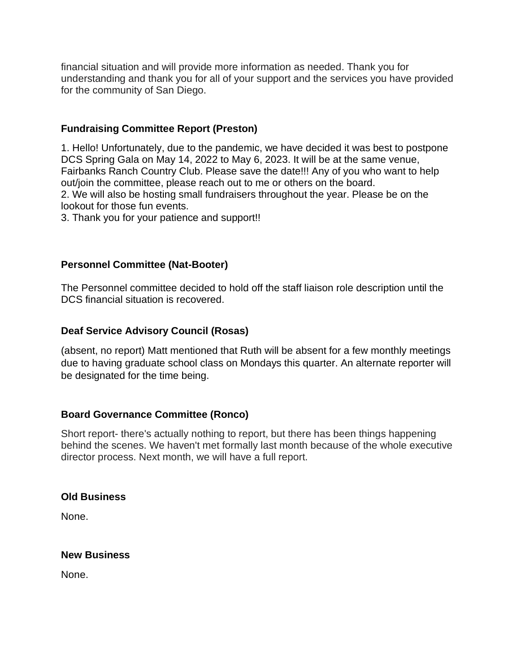financial situation and will provide more information as needed. Thank you for understanding and thank you for all of your support and the services you have provided for the community of San Diego.

## **Fundraising Committee Report (Preston)**

1. Hello! Unfortunately, due to the pandemic, we have decided it was best to postpone DCS Spring Gala on May 14, 2022 to May 6, 2023. It will be at the same venue, Fairbanks Ranch Country Club. Please save the date!!! Any of you who want to help out/join the committee, please reach out to me or others on the board. 2. We will also be hosting small fundraisers throughout the year. Please be on the lookout for those fun events.

3. Thank you for your patience and support!!

### **Personnel Committee (Nat-Booter)**

The Personnel committee decided to hold off the staff liaison role description until the DCS financial situation is recovered.

#### **Deaf Service Advisory Council (Rosas)**

(absent, no report) Matt mentioned that Ruth will be absent for a few monthly meetings due to having graduate school class on Mondays this quarter. An alternate reporter will be designated for the time being.

#### **Board Governance Committee (Ronco)**

Short report- there's actually nothing to report, but there has been things happening behind the scenes. We haven't met formally last month because of the whole executive director process. Next month, we will have a full report.

#### **Old Business**

None.

#### **New Business**

None.